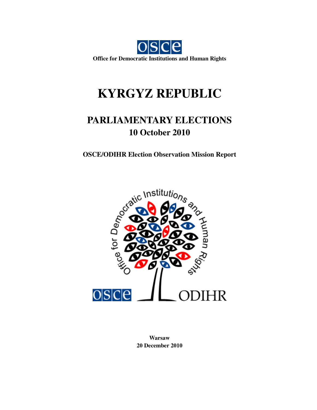

# **KYRGYZ REPUBLIC**

# **PARLIAMENTARY ELECTIONS 10 October 2010**



**Warsaw 20 December 2010**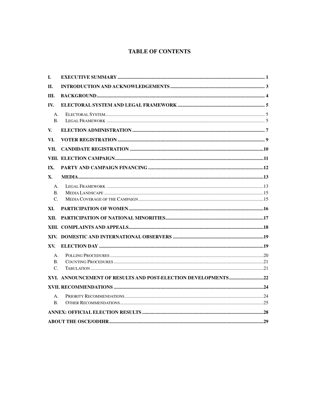# **TABLE OF CONTENTS**

| I.                                         |  |
|--------------------------------------------|--|
| II.                                        |  |
| III.                                       |  |
| IV.                                        |  |
| A.<br><b>B.</b>                            |  |
| V.                                         |  |
| VI.                                        |  |
| VII.                                       |  |
|                                            |  |
| IX.                                        |  |
| <b>X.</b>                                  |  |
| $\mathsf{A}$ .<br><b>B.</b><br>$C_{\cdot}$ |  |
| XI.                                        |  |
| XII.                                       |  |
|                                            |  |
|                                            |  |
| XV.                                        |  |
| A.<br>$\mathbf{B}$ .<br>$C_{\cdot}$        |  |
|                                            |  |
|                                            |  |
| A.                                         |  |
| <b>B.</b>                                  |  |
|                                            |  |
|                                            |  |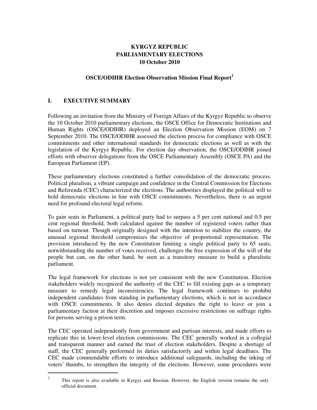# **KYRGYZ REPUBLIC PARLIAMENTARY ELECTIONS 10 October 2010**

# **OSCE/ODIHR Election Observation Mission Final Report 1**

# **I. EXECUTIVE SUMMARY**

 $\ddot{\phantom{a}}$ 

Following an invitation from the Ministry of Foreign Affairs of the Kyrgyz Republic to observe the 10 October 2010 parliamentary elections, the OSCE Office for Democratic Institutions and Human Rights (OSCE/ODIHR) deployed an Election Observation Mission (EOM) on 7 September 2010. The OSCE/ODIHR assessed the election process for compliance with OSCE commitments and other international standards for democratic elections as well as with the legislation of the Kyrgyz Republic. For election day observation, the OSCE/ODIHR joined efforts with observer delegations from the OSCE Parliamentary Assembly (OSCE PA) and the European Parliament (EP).

These parliamentary elections constituted a further consolidation of the democratic process. Political pluralism, a vibrant campaign and confidence in the Central Commission for Elections and Referenda (CEC) characterized the elections. The authorities displayed the political will to hold democratic elections in line with OSCE commitments. Nevertheless, there is an urgent need for profound electoral legal reform.

To gain seats in Parliament, a political party had to surpass a 5 per cent national and 0.5 per cent regional threshold, both calculated against the number of registered voters rather than based on turnout. Though originally designed with the intention to stabilize the country, the unusual regional threshold compromises the objective of proportional representation. The provision introduced by the new Constitution limiting a single political party to 65 seats, notwithstanding the number of votes received, challenges the free expression of the will of the people but can, on the other hand, be seen as a transitory measure to build a pluralistic parliament.

The legal framework for elections is not yet consistent with the new Constitution. Election stakeholders widely recognized the authority of the CEC to fill existing gaps as a temporary measure to remedy legal inconsistencies. The legal framework continues to prohibit independent candidates from standing in parliamentary elections, which is not in accordance with OSCE commitments. It also denies elected deputies the right to leave or join a parliamentary faction at their discretion and imposes excessive restrictions on suffrage rights for persons serving a prison term.

The CEC operated independently from government and partisan interests, and made efforts to replicate this in lower-level election commissions. The CEC generally worked in a collegial and transparent manner and earned the trust of election stakeholders. Despite a shortage of staff, the CEC generally performed its duties satisfactorily and within legal deadlines. The CEC made commendable efforts to introduce additional safeguards, including the inking of voters' thumbs, to strengthen the integrity of the elections. However, some procedures were

<sup>1</sup> This report is also available in Kyrgyz and Russian. However, the English version remains the only official document.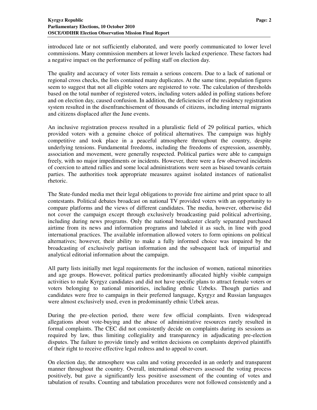introduced late or not sufficiently elaborated, and were poorly communicated to lower level commissions. Many commission members at lower levels lacked experience. These factors had a negative impact on the performance of polling staff on election day.

The quality and accuracy of voter lists remain a serious concern. Due to a lack of national or regional cross checks, the lists contained many duplicates. At the same time, population figures seem to suggest that not all eligible voters are registered to vote. The calculation of thresholds based on the total number of registered voters, including voters added in polling stations before and on election day, caused confusion. In addition, the deficiencies of the residency registration system resulted in the disenfranchisement of thousands of citizens, including internal migrants and citizens displaced after the June events.

An inclusive registration process resulted in a pluralistic field of 29 political parties, which provided voters with a genuine choice of political alternatives. The campaign was highly competitive and took place in a peaceful atmosphere throughout the country, despite underlying tensions. Fundamental freedoms, including the freedoms of expression, assembly, association and movement, were generally respected. Political parties were able to campaign freely, with no major impediments or incidents. However, there were a few observed incidents of coercion to attend rallies and some local administrations were seen as biased towards certain parties. The authorities took appropriate measures against isolated instances of nationalist rhetoric.

The State-funded media met their legal obligations to provide free airtime and print space to all contestants. Political debates broadcast on national TV provided voters with an opportunity to compare platforms and the views of different candidates. The media, however, otherwise did not cover the campaign except through exclusively broadcasting paid political advertising, including during news programs. Only the national broadcaster clearly separated purchased airtime from its news and information programs and labeled it as such, in line with good international practices. The available information allowed voters to form opinions on political alternatives; however, their ability to make a fully informed choice was impaired by the broadcasting of exclusively partisan information and the subsequent lack of impartial and analytical editorial information about the campaign.

All party lists initially met legal requirements for the inclusion of women, national minorities and age groups. However, political parties predominantly allocated highly visible campaign activities to male Kyrgyz candidates and did not have specific plans to attract female voters or voters belonging to national minorities, including ethnic Uzbeks. Though parties and candidates were free to campaign in their preferred language, Kyrgyz and Russian languages were almost exclusively used, even in predominantly ethnic Uzbek areas.

During the pre-election period, there were few official complaints. Even widespread allegations about vote-buying and the abuse of administrative resources rarely resulted in formal complaints. The CEC did not consistently decide on complaints during its sessions as required by law, thus limiting collegiality and transparency in adjudicating pre-election disputes. The failure to provide timely and written decisions on complaints deprived plaintiffs of their right to receive effective legal redress and to appeal to court.

On election day, the atmosphere was calm and voting proceeded in an orderly and transparent manner throughout the country. Overall, international observers assessed the voting process positively, but gave a significantly less positive assessment of the counting of votes and tabulation of results. Counting and tabulation procedures were not followed consistently and a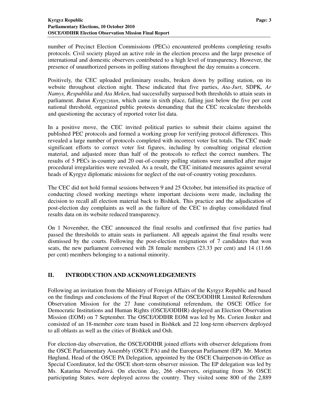number of Precinct Election Commissions (PECs) encountered problems completing results protocols. Civil society played an active role in the election process and the large presence of international and domestic observers contributed to a high level of transparency. However, the presence of unauthorized persons in polling stations throughout the day remains a concern.

Positively, the CEC uploaded preliminary results, broken down by polling station, on its website throughout election night. These indicated that five parties, *Ata-Jurt*, SDPK*, Ar Namys, Respublika* and *Ata Meken*, had successfully surpassed both thresholds to attain seats in parliament. *Butun Kyrgyzstan*, which came in sixth place, falling just below the five per cent national threshold, organized public protests demanding that the CEC recalculate thresholds and questioning the accuracy of reported voter list data.

In a positive move, the CEC invited political parties to submit their claims against the published PEC protocols and formed a working group for verifying protocol differences. This revealed a large number of protocols completed with incorrect voter list totals. The CEC made significant efforts to correct voter list figures, including by consulting original election material, and adjusted more than half of the protocols to reflect the correct numbers. The results of 5 PECs in-country and 20 out-of-country polling stations were annulled after major procedural irregularities were revealed. As a result, the CEC initiated measures against several heads of Kyrgyz diplomatic missions for neglect of the out-of-country voting procedures.

The CEC did not hold formal sessions between 9 and 25 October, but intensified its practice of conducting closed working meetings where important decisions were made, including the decision to recall all election material back to Bishkek. This practice and the adjudication of post-election day complaints as well as the failure of the CEC to display consolidated final results data on its website reduced transparency.

On 1 November, the CEC announced the final results and confirmed that five parties had passed the thresholds to attain seats in parliament. All appeals against the final results were dismissed by the courts. Following the post-election resignations of 7 candidates that won seats, the new parliament convened with 28 female members (23.33 per cent) and 14 (11.66 per cent) members belonging to a national minority.

# **II. INTRODUCTION AND ACKNOWLEDGEMENTS**

Following an invitation from the Ministry of Foreign Affairs of the Kyrgyz Republic and based on the findings and conclusions of the Final Report of the OSCE/ODIHR Limited Referendum Observation Mission for the 27 June constitutional referendum, the OSCE Office for Democratic Institutions and Human Rights (OSCE/ODIHR) deployed an Election Observation Mission (EOM) on 7 September. The OSCE/ODIHR EOM was led by Ms. Corien Jonker and consisted of an 18-member core team based in Bishkek and 22 long-term observers deployed to all oblasts as well as the cities of Bishkek and Osh.

For election-day observation, the OSCE/ODIHR joined efforts with observer delegations from the OSCE Parliamentary Assembly (OSCE PA) and the European Parliament (EP). Mr. Morten Høglund, Head of the OSCE PA Delegation, appointed by the OSCE Chairperson-in-Office as Special Coordinator, led the OSCE short-term observer mission. The EP delegation was led by Ms. Katarína Neveďalová. On election day, 266 observers, originating from 36 OSCE participating States, were deployed across the country. They visited some 800 of the 2,889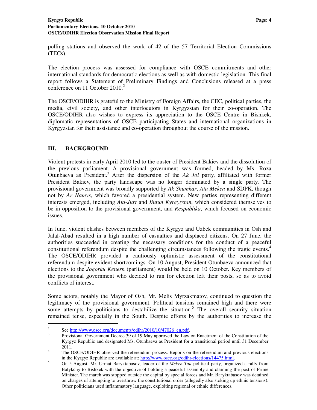polling stations and observed the work of 42 of the 57 Territorial Election Commissions (TECs).

The election process was assessed for compliance with OSCE commitments and other international standards for democratic elections as well as with domestic legislation. This final report follows a Statement of Preliminary Findings and Conclusions released at a press conference on 11 October 2010.<sup>2</sup>

The OSCE/ODIHR is grateful to the Ministry of Foreign Affairs, the CEC, political parties, the media, civil society, and other interlocutors in Kyrgyzstan for their co-operation. The OSCE/ODIHR also wishes to express its appreciation to the OSCE Centre in Bishkek, diplomatic representations of OSCE participating States and international organizations in Kyrgyzstan for their assistance and co-operation throughout the course of the mission.

# **III. BACKGROUND**

 $\ddot{\phantom{a}}$ 

Violent protests in early April 2010 led to the ouster of President Bakiev and the dissolution of the previous parliament. A provisional government was formed, headed by Ms. Roza Otunbaeva as President.<sup>3</sup> After the dispersion of the *Ak Jol* party, affiliated with former President Bakiev, the party landscape was no longer dominated by a single party. The provisional government was broadly supported by *Ak Shumkar*, *Ata Meken* and SDPK, though not by *Ar Namys*, which favored a presidential system. New parties representing different interests emerged, including *Ata-Jurt* and *Butun Kyrgyzstan*, which considered themselves to be in opposition to the provisional government, and *Respublika*, which focused on economic issues.

In June, violent clashes between members of the Kyrgyz and Uzbek communities in Osh and Jalal-Abad resulted in a high number of casualties and displaced citizens. On 27 June, the authorities succeeded in creating the necessary conditions for the conduct of a peaceful constitutional referendum despite the challenging circumstances following the tragic events.<sup>4</sup> The OSCE/ODIHR provided a cautiously optimistic assessment of the constitutional referendum despite evident shortcomings. On 10 August, President Otunbaeva announced that elections to the *Jogorku Kenesh* (parliament) would be held on 10 October. Key members of the provisional government who decided to run for election left their posts, so as to avoid conflicts of interest.

Some actors, notably the Mayor of Osh, Mr. Melis Myrzakmatov, continued to question the legitimacy of the provisional government. Political tensions remained high and there were some attempts by politicians to destabilize the situation.<sup>5</sup> The overall security situation remained tense, especially in the South. Despite efforts by the authorities to increase the

<sup>2</sup> See http://www.osce.org/documents/odihr/2010/10/47026\_en.pdf.

<sup>3</sup> Provisional Government Decree 39 of 19 May approved the Law on Enactment of the Constitution of the Kyrgyz Republic and designated Ms. Otunbaeva as President for a transitional period until 31 December 2011.

<sup>4</sup> The OSCE/ODIHR observed the referendum process. Reports on the referendum and previous elections in the Kyrgyz Republic are available at: http://www.osce.org/odihr-elections/14475.html.

<sup>5</sup> On 5 August, Mr. Urmat Baryktabasov, leader of the *Meken Tuu* political party, organized a rally from Balykchy to Bishkek with the objective of holding a peaceful assembly and claiming the post of Prime Minister. The march was stopped outside the capital by special forces and Mr. Baryktabasov was detained on charges of attempting to overthrow the constitutional order (allegedly also stoking up ethnic tensions). Other politicians used inflammatory language, exploiting regional or ethnic differences.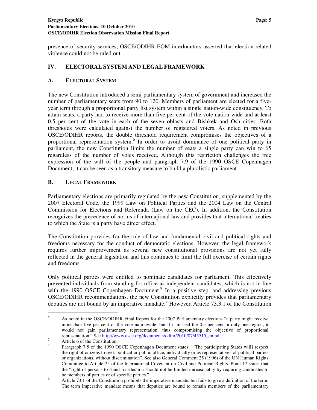presence of security services, OSCE/ODIHR EOM interlocutors asserted that election-related violence could not be ruled out.

# **IV. ELECTORAL SYSTEM AND LEGAL FRAMEWORK**

# **A. ELECTORAL SYSTEM**

The new Constitution introduced a semi-parliamentary system of government and increased the number of parliamentary seats from 90 to 120. Members of parliament are elected for a fiveyear term through a proportional party list system within a single nation-wide constituency. To attain seats, a party had to receive more than five per cent of the vote nation-wide and at least 0.5 per cent of the vote in each of the seven oblasts and Bishkek and Osh cities. Both thresholds were calculated against the number of registered voters. As noted in previous OSCE/ODIHR reports, the double threshold requirement compromises the objectives of a proportional representation system.<sup>6</sup> In order to avoid dominance of one political party in parliament, the new Constitution limits the number of seats a single party can win to 65 regardless of the number of votes received. Although this restriction challenges the free expression of the will of the people and paragraph 7.9 of the 1990 OSCE Copenhagen Document, it can be seen as a transitory measure to build a pluralistic parliament.

# **B. LEGAL FRAMEWORK**

Parliamentary elections are primarily regulated by the new Constitution, supplemented by the 2007 Electoral Code, the 1999 Law on Political Parties and the 2004 Law on the Central Commission for Elections and Referenda (Law on the CEC). In addition, the Constitution recognizes the precedence of norms of international law and provides that international treaties to which the State is a party have direct effect.<sup>7</sup>

The Constitution provides for the rule of law and fundamental civil and political rights and freedoms necessary for the conduct of democratic elections. However, the legal framework requires further improvement as several new constitutional provisions are not yet fully reflected in the general legislation and this continues to limit the full exercise of certain rights and freedoms.

Only political parties were entitled to nominate candidates for parliament. This effectively prevented individuals from standing for office as independent candidates, which is not in line with the 1990 OSCE Copenhagen Document.<sup>8</sup> In a positive step, and addressing previous OSCE/ODIHR recommendations, the new Constitution explicitly provides that parliamentary deputies are not bound by an imperative mandate.<sup>9</sup> However, Article 73.3.1 of the Constitution

<sup>6</sup> As noted in the OSCE/ODIHR Final Report for the 2007 Parliamentary elections "a party might receive more than five per cent of the vote nationwide, but if it missed the 0.5 per cent in only one region, it would not gain parliamentary representation, thus compromising the objective of proportional representation." See http://www.osce.org/documents/odihr/2010/07/45515\_en.pdf. 7

Article 6 of the Constitution.

<sup>8</sup> Paragraph 7.5 of the 1990 OSCE Copenhagen Document states: "[The participating States will] respect the right of citizens to seek political or public office, individually or as representatives of political parties or organizations, without discrimination". See also General Comment 25 (1996) of the UN Human Rights Committee to Article 25 of the International Covenant on Civil and Political Rights. Point 17 states that the "right of persons to stand for election should not be limited unreasonably by requiring candidates to be members of parties or of specific parties."

<sup>9</sup> Article 73.1 of the Constitution prohibits the imperative mandate, but fails to give a definition of the term. The term imperative mandate means that deputies are bound to remain members of the parliamentary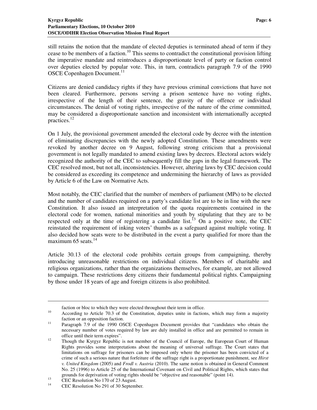still retains the notion that the mandate of elected deputies is terminated ahead of term if they cease to be members of a faction.<sup>10</sup> This seems to contradict the constitutional provision lifting the imperative mandate and reintroduces a disproportionate level of party or faction control over deputies elected by popular vote. This, in turn, contradicts paragraph 7.9 of the 1990 OSCE Copenhagen Document.<sup>11</sup>

Citizens are denied candidacy rights if they have previous criminal convictions that have not been cleared. Furthermore, persons serving a prison sentence have no voting rights, irrespective of the length of their sentence, the gravity of the offence or individual circumstances. The denial of voting rights, irrespective of the nature of the crime committed, may be considered a disproportionate sanction and inconsistent with internationally accepted practices.<sup>12</sup>

On 1 July, the provisional government amended the electoral code by decree with the intention of eliminating discrepancies with the newly adopted Constitution. These amendments were revoked by another decree on 9 August, following strong criticism that a provisional government is not legally mandated to amend existing laws by decrees. Electoral actors widely recognized the authority of the CEC to subsequently fill the gaps in the legal framework. The CEC resolved most, but not all, inconsistencies. However, altering laws by CEC decision could be considered as exceeding its competence and undermining the hierarchy of laws as provided by Article 6 of the Law on Normative Acts.

Most notably, the CEC clarified that the number of members of parliament (MPs) to be elected and the number of candidates required on a party's candidate list are to be in line with the new Constitution. It also issued an interpretation of the quota requirements contained in the electoral code for women, national minorities and youth by stipulating that they are to be respected only at the time of registering a candidate list.<sup>13</sup> On a positive note, the CEC reinstated the requirement of inking voters' thumbs as a safeguard against multiple voting. It also decided how seats were to be distributed in the event a party qualified for more than the maximum 65 seats. $^{14}$ 

Article 30.13 of the electoral code prohibits certain groups from campaigning, thereby introducing unreasonable restrictions on individual citizens. Members of charitable and religious organizations, rather than the organizations themselves, for example, are not allowed to campaign. These restrictions deny citizens their fundamental political rights. Campaigning by those under 18 years of age and foreign citizens is also prohibited.

faction or bloc to which they were elected throughout their term in office.

<sup>&</sup>lt;sup>10</sup> According to Article 70.3 of the Constitution, deputies unite in factions, which may form a majority faction or an opposition faction.

<sup>&</sup>lt;sup>11</sup> Paragraph 7.9 of the 1990 OSCE Copenhagen Document provides that "candidates who obtain the necessary number of votes required by law are duly installed in office and are permitted to remain in office until their term expires".

<sup>&</sup>lt;sup>12</sup> Though the Kyrgyz Republic is not member of the Council of Europe, the European Court of Human Rights provides some interpretations about the meaning of universal suffrage. The Court states that limitations on suffrage for prisoners can be imposed only where the prisoner has been convicted of a crime of such a serious nature that forfeiture of the suffrage right is a proportionate punishment, see *Hirst v. United Kingdom* (2005) and *Frodl v. Austria* (2010). The same notion is obtained in General Comment No. 25 (1996) to Article 25 of the International Covenant on Civil and Political Rights, which states that grounds for deprivation of voting rights should be "objective and reasonable" (point 14).

 $13$  CEC Resolution No 170 of 23 August.

CEC Resolution No 291 of 30 September.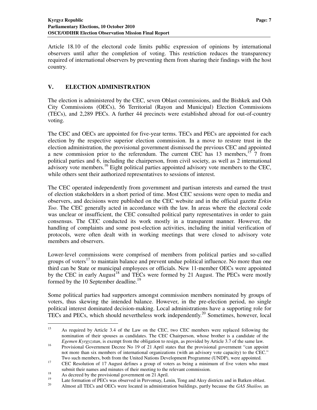Article 18.10 of the electoral code limits public expression of opinions by international observers until after the completion of voting. This restriction reduces the transparency required of international observers by preventing them from sharing their findings with the host country.

# **V. ELECTION ADMINISTRATION**

The election is administered by the CEC, seven Oblast commissions, and the Bishkek and Osh City Commissions (OECs), 56 Territorial (Rayon and Municipal) Election Commissions (TECs), and 2,289 PECs. A further 44 precincts were established abroad for out-of-country voting.

The CEC and OECs are appointed for five-year terms. TECs and PECs are appointed for each election by the respective superior election commission. In a move to restore trust in the election administration, the provisional government dismissed the previous CEC and appointed a new commission prior to the referendum. The current CEC has  $13$  members,<sup>15</sup> 7 from political parties and 6, including the chairperson, from civil society, as well as 2 international advisory vote members.<sup>16</sup> Eight political parties appointed advisory vote members to the CEC, while others sent their authorized representatives to sessions of interest.

The CEC operated independently from government and partisan interests and earned the trust of election stakeholders in a short period of time. Most CEC sessions were open to media and observers, and decisions were published on the CEC website and in the official gazette *Erkin Too*. The CEC generally acted in accordance with the law. In areas where the electoral code was unclear or insufficient, the CEC consulted political party representatives in order to gain consensus. The CEC conducted its work mostly in a transparent manner. However, the handling of complaints and some post-election activities, including the initial verification of protocols, were often dealt with in working meetings that were closed to advisory vote members and observers.

Lower-level commissions were comprised of members from political parties and so-called groups of voters $17$  to maintain balance and prevent undue political influence. No more than one third can be State or municipal employees or officials. New 11-member OECs were appointed by the CEC in early August<sup>18</sup> and TECs were formed by 21 August. The PECs were mostly formed by the 10 September deadline.<sup>19</sup>

Some political parties had supporters amongst commission members nominated by groups of voters, thus skewing the intended balance. However, in the pre-election period, no single political interest dominated decision-making. Local administrations have a supporting role for TECs and PECs, which should nevertheless work independently.<sup>20</sup> Sometimes, however, local

<sup>&</sup>lt;sup>15</sup> As required by Article 3.4 of the Law on the CEC, two CEC members were replaced following the nomination of their spouses as candidates. The CEC Chairperson, whose brother is a candidate of the *Egemen Kyrgyzstan*, is exempt from the obligation to resign, as provided by Article 3.7 of the same law.

<sup>16</sup> Provisional Government Decree No 19 of 21 April states that the provisional government "can appoint not more than six members of international organizations (with an advisory vote capacity) to the CEC." Two such members, both from the United Nations Development Programme (UNDP), were appointed.

<sup>&</sup>lt;sup>17</sup> CEC Resolution of 17 August defines a group of voters as being a minimum of five voters who must submit their names and minutes of their meeting to the relevant commission.

<sup>&</sup>lt;sup>18</sup> As decreed by the provisional government on 21 April.

<sup>&</sup>lt;sup>19</sup> Late formation of PECs was observed in Pervomay, Lenin, Tong and Aksy districts and in Batken oblast.

<sup>20</sup> Almost all TECs and OECs were located in administration buildings, partly because the *GAS Shailoo,* an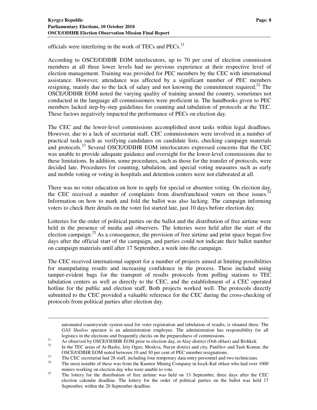officials were interfering in the work of TECs and PECs.<sup>21</sup>

According to OSCE/ODIHR EOM interlocutors, up to 70 per cent of election commission members at all three lower levels had no previous experience at their respective level of election management. Training was provided for PEC members by the CEC with international assistance. However, attendance was affected by a significant number of PEC members resigning, mainly due to the lack of salary and not knowing the commitment required.<sup>22</sup> The OSCE/ODIHR EOM noted the varying quality of training around the country, sometimes not conducted in the language all commissioners were proficient in. The handbooks given to PEC members lacked step-by-step guidelines for counting and tabulation of protocols at the TEC. These factors negatively impacted the performance of PECs on election day.

The CEC and the lower-level commissions accomplished most tasks within legal deadlines. However, due to a lack of secretariat staff, CEC commissioners were involved in a number of practical tasks such as verifying candidates on candidate lists, checking campaign materials and protocols.<sup>23</sup> Several OSCE/ODIHR EOM interlocutors expressed concerns that the CEC was unable to provide adequate guidance and oversight for the lower-level commissions due to these limitations. In addition, some procedures, such as those for the transfer of protocols, were decided late. Procedures for counting, tabulation, and special voting measures such as early and mobile voting or voting in hospitals and detention centers were not elaborated at all.

There was no voter education on how to apply for special or absentee voting. On election day, the CEC received a number of complaints from disenfranchised voters on these issues.<sup>2</sup> Information on how to mark and fold the ballot was also lacking. The campaign informing voters to check their details on the voter list started late, just 10 days before election day.

Lotteries for the order of political parties on the ballot and the distribution of free airtime were held in the presence of media and observers. The lotteries were held after the start of the election campaign.<sup>25</sup> As a consequence, the provision of free airtime and print space began five days after the official start of the campaign, and parties could not indicate their ballot number on campaign materials until after 17 September, a week into the campaign.

The CEC received international support for a number of projects aimed at limiting possibilities for manipulating results and increasing confidence in the process. These included using tamper-evident bags for the transport of results protocols from polling stations to TEC tabulation centers as well as directly to the CEC, and the establishment of a CEC operated hotline for the public and election staff. Both projects worked well. The protocols directly submitted to the CEC provided a valuable reference for the CEC during the cross-checking of protocols from political parties after election day.

automated countrywide system used for voter registration and tabulation of results, is situated there. The *GAS Shailoo* operator is an administration employee. The administration has responsibility for all logistics in the elections and frequently checks on the preparedness of commissions.

<sup>&</sup>lt;sup>21</sup><br>As observed by OSCE/ODIHR EOM prior to election day, in Alay district (Osh oblast) and Bishkek.

<sup>22</sup> In the TEC areas of At-Bashy, Jety Oguz, Moskva, Naryn district and city, Panfilov and Tash Komur, the OSCE/ODIHR EOM noted between 10 and 30 per cent of PEC member resignations.

<sup>&</sup>lt;sup>23</sup><br>The CEC secretariat had 28 staff, including four temporary data entry personnel and two technicians.<br><sup>24</sup> The meet notable of these wee from the *Kuntan Mining Company* in Jacob Kul able two had away

The most notable of these was from the Kumtor Mining Company in Issyk-Kul oblast who had over 1000 miners working on election day who were unable to vote.

<sup>&</sup>lt;sup>25</sup> The lottery for the distribution of free airtime was held on 13 September, three days after the CEC election calendar deadline. The lottery for the order of political parties on the ballot was held 17 September, within the 20 September deadline.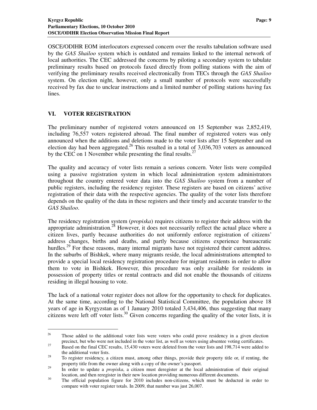OSCE/ODIHR EOM interlocutors expressed concern over the results tabulation software used by the *GAS Shailoo* system which is outdated and remains linked to the internal network of local authorities. The CEC addressed the concerns by piloting a secondary system to tabulate preliminary results based on protocols faxed directly from polling stations with the aim of verifying the preliminary results received electronically from TECs through the *GAS Shailoo* system. On election night, however, only a small number of protocols were successfully received by fax due to unclear instructions and a limited number of polling stations having fax lines.

# **VI. VOTER REGISTRATION**

 $\overline{a}$ 

The preliminary number of registered voters announced on 15 September was 2,852,419, including 76,557 voters registered abroad. The final number of registered voters was only announced when the additions and deletions made to the voter lists after 15 September and on election day had been aggregated.<sup>26</sup> This resulted in a total of  $3,036,703$  voters as announced by the CEC on 1 November while presenting the final results. $27$ 

The quality and accuracy of voter lists remain a serious concern. Voter lists were compiled using a passive registration system in which local administration system administrators throughout the country entered voter data into the *GAS Shailoo* system from a number of public registers, including the residency register. These registers are based on citizens' active registration of their data with the respective agencies. The quality of the voter lists therefore depends on the quality of the data in these registers and their timely and accurate transfer to the *GAS Shailoo*.

The residency registration system (*propiska*) requires citizens to register their address with the appropriate administration.<sup>28</sup> However, it does not necessarily reflect the actual place where a citizen lives, partly because authorities do not uniformly enforce registration of citizens' address changes, births and deaths, and partly because citizens experience bureaucratic hurdles.<sup>29</sup> For these reasons, many internal migrants have not registered their current address. In the suburbs of Bishkek, where many migrants reside, the local administrations attempted to provide a special local residency registration procedure for migrant residents in order to allow them to vote in Bishkek. However, this procedure was only available for residents in possession of property titles or rental contracts and did not enable the thousands of citizens residing in illegal housing to vote.

The lack of a national voter register does not allow for the opportunity to check for duplicates. At the same time, according to the National Statistical Committee, the population above 18 years of age in Kyrgyzstan as of 1 January 2010 totaled 3,434,406, thus suggesting that many citizens were left off voter lists.<sup>30</sup> Given concerns regarding the quality of the voter lists, it is

<sup>&</sup>lt;sup>26</sup> Those added to the additional voter lists were voters who could prove residency in a given election precinct, but who were not included in the voter list, as well as voters using absentee voting certificates.

<sup>&</sup>lt;sup>27</sup> Based on the final CEC results, 15,430 voters were deleted from the voter lists and 198,714 were added to the additional voter lists.

<sup>&</sup>lt;sup>28</sup> To register residency, a citizen must, among other things, provide their property title or, if renting, the property title from the owner along with a copy of the owner's passport.

<sup>&</sup>lt;sup>29</sup> In order to update a *propiska*, a citizen must deregister at the local administration of their original location, and then reregister in their new location providing numerous different documents.

<sup>&</sup>lt;sup>30</sup> The official population figure for 2010 includes non-citizens, which must be deducted in order to compare with voter register totals. In 2009, that number was just 26,007.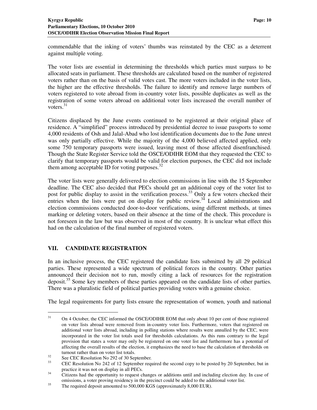commendable that the inking of voters' thumbs was reinstated by the CEC as a deterrent against multiple voting.

The voter lists are essential in determining the thresholds which parties must surpass to be allocated seats in parliament. These thresholds are calculated based on the number of registered voters rather than on the basis of valid votes cast. The more voters included in the voter lists, the higher are the effective thresholds. The failure to identify and remove large numbers of voters registered to vote abroad from in-country voter lists, possible duplicates as well as the registration of some voters abroad on additional voter lists increased the overall number of voters.<sup>31</sup>

Citizens displaced by the June events continued to be registered at their original place of residence. A "simplified" process introduced by presidential decree to issue passports to some 4,000 residents of Osh and Jalal-Abad who lost identification documents due to the June unrest was only partially effective. While the majority of the 4,000 believed affected applied, only some 750 temporary passports were issued, leaving most of those affected disenfranchised. Though the State Register Service told the OSCE/ODIHR EOM that they requested the CEC to clarify that temporary passports would be valid for election purposes, the CEC did not include them among acceptable ID for voting purposes. $32$ 

The voter lists were generally delivered to election commissions in line with the 15 September deadline. The CEC also decided that PECs should get an additional copy of the voter list to post for public display to assist in the verification process.<sup>33</sup> Only a few voters checked their entries when the lists were put on display for public review.<sup>34</sup> Local administrations and election commissions conducted door-to-door verifications, using different methods, at times marking or deleting voters, based on their absence at the time of the check. This procedure is not foreseen in the law but was observed in most of the country. It is unclear what effect this had on the calculation of the final number of registered voters.

# **VII. CANDIDATE REGISTRATION**

In an inclusive process, the CEC registered the candidate lists submitted by all 29 political parties. These represented a wide spectrum of political forces in the country. Other parties announced their decision not to run, mostly citing a lack of resources for the registration deposit.<sup>35</sup> Some key members of these parties appeared on the candidate lists of other parties. There was a pluralistic field of political parties providing voters with a genuine choice.

The legal requirements for party lists ensure the representation of women, youth and national

<sup>&</sup>lt;sup>31</sup> On 4 October, the CEC informed the OSCE/ODIHR EOM that only about 10 per cent of those registered on voter lists abroad were removed from in-country voter lists. Furthermore, voters that registered on additional voter lists abroad, including in polling stations where results were annulled by the CEC, were incorporated in the voter list totals used for thresholds calculations. As this runs contrary to the legal provision that states a voter may only be registered on one voter list and furthermore has a potential of affecting the overall results of the election, it emphasizes the need to base the calculation of thresholds on turnout rather than on voter list totals.

<sup>&</sup>lt;sup>32</sup> See CEC Resolution No 292 of 30 September.<br> $\frac{33}{12}$  CEC Resolution No 242 of 12 September ages

<sup>33</sup> CEC Resolution No 242 of 12 September required the second copy to be posted by 20 September, but in practice it was not on display in all PECs.

<sup>&</sup>lt;sup>34</sup> Citizens had the opportunity to request changes or additions until and including election day. In case of omissions, a voter proving residency in the precinct could be added to the additional voter list.

<sup>&</sup>lt;sup>35</sup> The required deposit amounted to 500,000 KGS (approximately 8,000 EUR).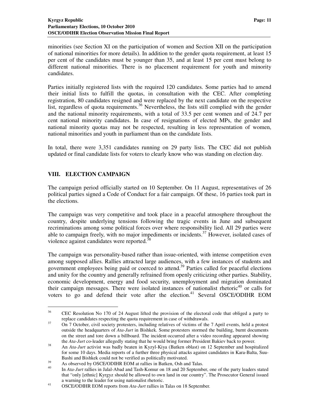minorities (see Section XI on the participation of women and Section XII on the participation of national minorities for more details). In addition to the gender quota requirement, at least 15 per cent of the candidates must be younger than 35, and at least 15 per cent must belong to different national minorities. There is no placement requirement for youth and minority candidates.

Parties initially registered lists with the required 120 candidates. Some parties had to amend their initial lists to fulfill the quotas, in consultation with the CEC. After completing registration, 80 candidates resigned and were replaced by the next candidate on the respective list, regardless of quota requirements.<sup>36</sup> Nevertheless, the lists still complied with the gender and the national minority requirements, with a total of 33.5 per cent women and of 24.7 per cent national minority candidates. In case of resignations of elected MPs, the gender and national minority quotas may not be respected, resulting in less representation of women, national minorities and youth in parliament than on the candidate lists.

In total, there were 3,351 candidates running on 29 party lists. The CEC did not publish updated or final candidate lists for voters to clearly know who was standing on election day.

# **VIII. ELECTION CAMPAIGN**

 $\ddot{\phantom{a}}$ 

The campaign period officially started on 10 September. On 11 August, representatives of 26 political parties signed a Code of Conduct for a fair campaign. Of these, 16 parties took part in the elections.

The campaign was very competitive and took place in a peaceful atmosphere throughout the country, despite underlying tensions following the tragic events in June and subsequent recriminations among some political forces over where responsibility lied. All 29 parties were able to campaign freely, with no major impediments or incidents.<sup>37</sup> However, isolated cases of violence against candidates were reported.<sup>38</sup>

The campaign was personality-based rather than issue-oriented, with intense competition even among supposed allies. Rallies attracted large audiences, with a few instances of students and government employees being paid or coerced to attend.<sup>39</sup> Parties called for peaceful elections and unity for the country and generally refrained from openly criticizing other parties. Stability, economic development, energy and food security, unemployment and migration dominated their campaign messages. There were isolated instances of nationalist rhetoric $40$  or calls for voters to go and defend their vote after the election.<sup>41</sup> Several OSCE/ODIHR EOM

<sup>&</sup>lt;sup>36</sup> CEC Resolution No 170 of 24 August lifted the provision of the electoral code that obliged a party to replace candidates respecting the quota requirement in case of withdrawals.

<sup>&</sup>lt;sup>37</sup> On 7 October, civil society protesters, including relatives of victims of the 7 April events, held a protest outside the headquarters of *Ata-Jurt* in Bishkek. Some protesters stormed the building, burnt documents on the street and tore down a billboard. The incident occurred after a video recording appeared showing the *Ata-Jurt* co-leader allegedly stating that he would bring former President Bakiev back to power.

<sup>38</sup> An *Ata-Jurt* activist was badly beaten in Kyzyl-Kiya (Batken oblast) on 12 September and hospitalized for some 10 days. Media reports of a further three physical attacks against candidates in Kara-Balta, Suu-Bashi and Bishkek could not be verified as politically motivated.

<sup>&</sup>lt;sup>39</sup> As observed by OSCE/ODIHR EOM at rallies in Batken, Osh and Talas.

<sup>40</sup> In *Ata-Jurt* rallies in Jalal-Abad and Tash-Komur on 18 and 20 September, one of the party leaders stated that "only [ethnic] Kyrgyz should be allowed to own land in our country". The Prosecutor General issued a warning to the leader for using nationalist rhetoric.

<sup>41</sup> OSCE/ODIHR EOM reports from *Ata-Jurt* rallies in Talas on 18 September.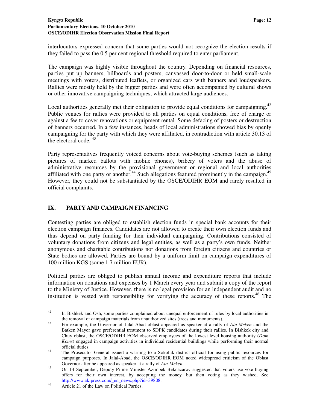interlocutors expressed concern that some parties would not recognize the election results if they failed to pass the 0.5 per cent regional threshold required to enter parliament.

The campaign was highly visible throughout the country. Depending on financial resources, parties put up banners, billboards and posters, canvassed door-to-door or held small-scale meetings with voters, distributed leaflets, or organized cars with banners and loudspeakers. Rallies were mostly held by the bigger parties and were often accompanied by cultural shows or other innovative campaigning techniques, which attracted large audiences.

Local authorities generally met their obligation to provide equal conditions for campaigning.<sup>42</sup> Public venues for rallies were provided to all parties on equal conditions, free of charge or against a fee to cover renovations or equipment rental. Some defacing of posters or destruction of banners occurred. In a few instances, heads of local administrations showed bias by openly campaigning for the party with which they were affiliated, in contradiction with article 30.13 of the electoral code.  $43$ 

Party representatives frequently voiced concerns about vote-buying schemes (such as taking pictures of marked ballots with mobile phones), bribery of voters and the abuse of administrative resources by the provisional government or regional and local authorities affiliated with one party or another.<sup>44</sup> Such allegations featured prominently in the campaign.<sup>45</sup> However, they could not be substantiated by the OSCE/ODIHR EOM and rarely resulted in official complaints.

# **IX. PARTY AND CAMPAIGN FINANCING**

Contesting parties are obliged to establish election funds in special bank accounts for their election campaign finances. Candidates are not allowed to create their own election funds and thus depend on party funding for their individual campaigning. Contributions consisted of voluntary donations from citizens and legal entities, as well as a party's own funds. Neither anonymous and charitable contributions nor donations from foreign citizens and countries or State bodies are allowed. Parties are bound by a uniform limit on campaign expenditures of 100 million KGS (some 1.7 million EUR).

Political parties are obliged to publish annual income and expenditure reports that include information on donations and expenses by 1 March every year and submit a copy of the report to the Ministry of Justice. However, there is no legal provision for an independent audit and no institution is vested with responsibility for verifying the accuracy of these reports.<sup>46</sup> The

<sup>&</sup>lt;sup>42</sup> In Bishkek and Osh, some parties complained about unequal enforcement of rules by local authorities in the removal of campaign materials from unauthorized sites (trees and monuments).

<sup>43</sup> For example, the Governor of Jalal-Abad oblast appeared as speaker at a rally of *Ata-Meken* and the Batken Mayor gave preferential treatment to SDPK candidates during their rallies. In Bishkek city and Chuy oblast, the OSCE/ODIHR EOM observed employees of the lowest level housing authority (*Dom Koms*) engaged in campaign activities in individual residential buildings while performing their normal official duties.

<sup>44</sup> The Prosecutor General issued a warning to a Sokoluk district official for using public resources for campaign purposes. In Jalal-Abad, the OSCE/ODIHR EOM noted widespread criticism of the Oblast Governor after he appeared as speaker at a rally of *Ata-Meken*.

<sup>&</sup>lt;sup>45</sup> On 14 September, Deputy Prime Minister Azimbek Beknazarov suggested that voters use vote buying offers for their own interest, by accepting the money, but then voting as they wished. See http://www.akipress.com/\_en\_news.php?id=39808.

<sup>46</sup> Article 21 of the Law on Political Parties.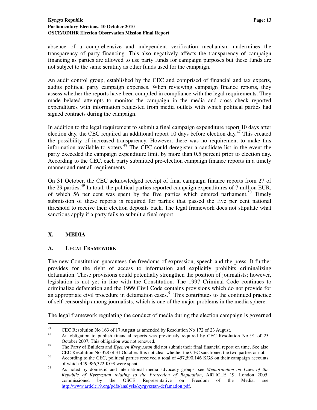absence of a comprehensive and independent verification mechanism undermines the transparency of party financing. This also negatively affects the transparency of campaign financing as parties are allowed to use party funds for campaign purposes but these funds are not subject to the same scrutiny as other funds used for the campaign.

An audit control group, established by the CEC and comprised of financial and tax experts, audits political party campaign expenses. When reviewing campaign finance reports, they assess whether the reports have been compiled in compliance with the legal requirements. They made belated attempts to monitor the campaign in the media and cross check reported expenditures with information requested from media outlets with which political parties had signed contracts during the campaign.

In addition to the legal requirement to submit a final campaign expenditure report 10 days after election day, the CEC required an additional report 10 days before election day.<sup>47</sup> This created the possibility of increased transparency. However, there was no requirement to make this information available to voters.<sup>48</sup> The CEC could deregister a candidate list in the event the party exceeded the campaign expenditure limit by more than 0.5 percent prior to election day. According to the CEC, each party submitted pre-election campaign finance reports in a timely manner and met all requirements.

On 31 October, the CEC acknowledged receipt of final campaign finance reports from 27 of the 29 parties.<sup>49</sup> In total, the political parties reported campaign expenditures of 7 million EUR, of which 56 per cent was spent by the five parties which entered parliament.<sup>50</sup> Timely submission of these reports is required for parties that passed the five per cent national threshold to receive their election deposits back. The legal framework does not stipulate what sanctions apply if a party fails to submit a final report.

# **X. MEDIA**

 $\ddot{\phantom{a}}$ 

#### **A. LEGAL FRAMEWORK**

The new Constitution guarantees the freedoms of expression, speech and the press. It further provides for the right of access to information and explicitly prohibits criminalizing defamation. These provisions could potentially strengthen the position of journalists; however, legislation is not yet in line with the Constitution. The 1997 Criminal Code continues to criminalize defamation and the 1999 Civil Code contains provisions which do not provide for an appropriate civil procedure in defamation cases.<sup>51</sup> This contributes to the continued practice of self-censorship among journalists, which is one of the major problems in the media sphere.

The legal framework regulating the conduct of media during the election campaign is governed

<sup>&</sup>lt;sup>47</sup> CEC Resolution No 163 of 17 August as amended by Resolution No 172 of 23 August.

<sup>48</sup> An obligation to publish financial reports was previously required by CEC Resolution No 91 of 25 October 2007. This obligation was not renewed.

<sup>49</sup> The Party of Builders and *Egemen Kyrgyzstan* did not submit their final financial report on time. See also CEC Resolution No 328 of 31 October. It is not clear whether the CEC sanctioned the two parties or not.

<sup>&</sup>lt;sup>50</sup> According to the CEC, political parties received a total of 457,590,146 KGS on their campaign accounts of which 449,986,322 KGS were spent.

<sup>51</sup> As noted by domestic and international media advocacy groups, see *Memorandum on Laws of the Republic of Kyrgyzstan relating to the Protection of Reputation*, ARTICLE 19, London 2005, commissioned by the OSCE Representative on Freedom of the Media, see http://www.article19.org/pdfs/analysis/kyrgyzstan-defamation.pdf.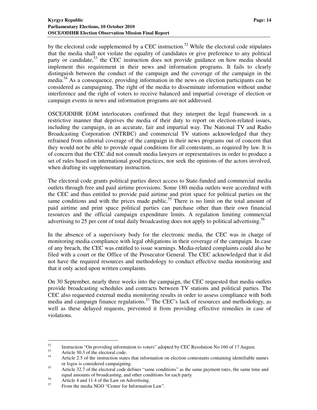by the electoral code supplemented by a CEC instruction.<sup>52</sup> While the electoral code stipulates that the media shall not violate the equality of candidates or give preference to any political party or candidate,<sup>53</sup> the CEC instruction does not provide guidance on how media should implement this requirement in their news and information programs. It fails to clearly distinguish between the conduct of the campaign and the coverage of the campaign in the media.<sup>54</sup> As a consequence, providing information in the news on election participants can be considered as campaigning. The right of the media to disseminate information without undue interference and the right of voters to receive balanced and impartial coverage of election or campaign events in news and information programs are not addressed.

OSCE/ODIHR EOM interlocutors confirmed that they interpret the legal framework in a restrictive manner that deprives the media of their duty to report on election-related issues, including the campaign, in an accurate, fair and impartial way. The National TV and Radio Broadcasting Corporation (NTRBC) and commercial TV stations acknowledged that they refrained from editorial coverage of the campaign in their news programs out of concern that they would not be able to provide equal conditions for all contestants, as required by law. It is of concern that the CEC did not consult media lawyers or representatives in order to produce a set of rules based on international good practices, nor seek the opinions of the actors involved, when drafting its supplementary instruction.

The electoral code grants political parties direct access to State-funded and commercial media outlets through free and paid airtime provisions. Some 180 media outlets were accredited with the CEC and thus entitled to provide paid airtime and print space for political parties on the same conditions and with the prices made public.<sup>55</sup> There is no limit on the total amount of paid airtime and print space political parties can purchase other than their own financial resources and the official campaign expenditure limits. A regulation limiting commercial advertising to 25 per cent of total daily broadcasting does not apply to political advertising.<sup>56</sup>

In the absence of a supervisory body for the electronic media, the CEC was in charge of monitoring media compliance with legal obligations in their coverage of the campaign. In case of any breach, the CEC was entitled to issue warnings. Media-related complaints could also be filed with a court or the Office of the Prosecutor General. The CEC acknowledged that it did not have the required resources and methodology to conduct effective media monitoring and that it only acted upon written complaints.

On 30 September, nearly three weeks into the campaign, the CEC requested that media outlets provide broadcasting schedules and contracts between TV stations and political parties. The CEC also requested external media monitoring results in order to assess compliance with both media and campaign finance regulations.<sup>57</sup> The CEC's lack of resources and methodology, as well as these delayed requests, prevented it from providing effective remedies in case of violations.

<sup>&</sup>lt;sup>52</sup><br>Instruction "On providing information to voters" adopted by CEC Resolution No 160 of 17 August.

 $53$  Article 30.3 of the electoral code.

Article 2.5 of the instruction states that information on election contestants containing identifiable names or logos is considered campaigning.

<sup>&</sup>lt;sup>55</sup> Article 32.7 of the electoral code defines "same conditions" as the same payment rates, the same time and equal amounts of broadcasting, and other conditions for each party.

<sup>&</sup>lt;sup>56</sup><br>Article 4 and 11.4 of the Law on Advertising.<br>From the media NGO "Center for Information"

From the media NGO "Center for Information Law".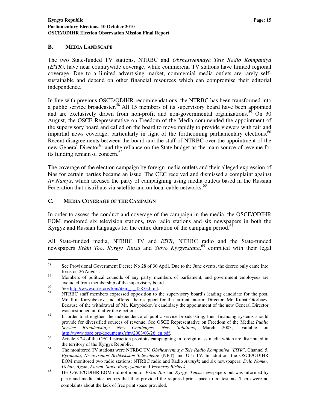#### **B. MEDIA LANDSCAPE**

The two State-funded TV stations, NTRBC and *Obshestvennaya Tele Radio Kompaniya (ElTR)*, have near countrywide coverage, while commercial TV stations have limited regional coverage. Due to a limited advertising market, commercial media outlets are rarely selfsustainable and depend on other financial resources which can compromise their editorial independence.

In line with previous OSCE/ODIHR recommendations, the NTRBC has been transformed into a public service broadcaster.<sup>58</sup> All 15 members of its supervisory board have been appointed and are exclusively drawn from non-profit and non-governmental organizations.<sup>59</sup> On 30 August, the OSCE Representative on Freedom of the Media commended the appointment of the supervisory board and called on the board to move rapidly to provide viewers with fair and impartial news coverage, particularly in light of the forthcoming parliamentary elections.<sup>60</sup> Recent disagreements between the board and the staff of NTRBC over the appointment of the new General Director $^{61}$  and the reliance on the State budget as the main source of revenue for its funding remain of concern. $62$ 

The coverage of the election campaign by foreign media outlets and their alleged expression of bias for certain parties became an issue. The CEC received and dismissed a complaint against *Ar Namys*, which accused the party of campaigning using media outlets based in the Russian Federation that distribute via satellite and on local cable networks.<sup>63</sup>

# **C. MEDIA COVERAGE OF THE CAMPAIGN**

In order to assess the conduct and coverage of the campaign in the media, the OSCE/ODIHR EOM monitored six television stations, two radio stations and six newspapers in both the Kyrgyz and Russian languages for the entire duration of the campaign period.<sup>64</sup>

All State-funded media, NTRBC TV and *ElTR*, NTRBC radio and the State-funded newspapers *Erkin Too*, *Kyrgyz Tuusu* and *Slovo Kyrgyzstana*, <sup>65</sup> complied with their legal

 $\overline{a}$ 

<sup>&</sup>lt;sup>58</sup> See Provisional Government Decree No 28 of 30 April. Due to the June events, the decree only came into force on 26 August.

<sup>&</sup>lt;sup>59</sup> Members of political councils of any party, members of parliament, and government employees are excluded from membership of the supervisory board.

 $60$  See <u>http://www.osce.org/fom/item\_1\_45873.html</u>.

NTRBC staff members expressed opposition to the supervisory board's leading candidate for the post, Mr. Ilim Karypbekov, and offered their support for the current interim Director, Mr. Kubat Otorbaev. Because of the withdrawal of Mr. Karypbekov's candidacy the appointment of the new General Director was postponed until after the elections.

<sup>&</sup>lt;sup>62</sup> In order to strengthen the independence of public service broadcasting, their financing systems should provide for diversified sources of revenue. See OSCE Representative on Freedom of the Media: *Public Service Broadcasting: New Challenges, New Solutions*, March 2003, available on http://www.osce.org/documents/rfm/2003/03/26\_en.pdf.

<sup>&</sup>lt;sup>63</sup> Article 3.24 of the CEC Instruction prohibits campaigning in foreign mass media which are distributed in the territory of the Kyrgyz Republic.

<sup>64</sup> The monitored TV stations were NTRBC TV, *Obshestvennaya Tele Radio Kompaniya* "*ElTR*", Channel 5, *Pyramida*, *Nezavisimoe Bishkekskoe Televidenie* (NBT) and Osh TV. In addition, the OSCE/ODIHR EOM monitored two radio stations: NTRBC radio and Radio *Azattyk*; and six newspapers: *Delo Nomer*, *Uchur*, *Agym*, *Forum*, *Slovo Kyrgyzstana* and *Vecherny Bishkek*.

<sup>65</sup> The OSCE/ODIHR EOM did not monitor *Erkin Too* and *Kyrgyz Tuusu* newspapers but was informed by party and media interlocutors that they provided the required print space to contestants. There were no complaints about the lack of free print space provided.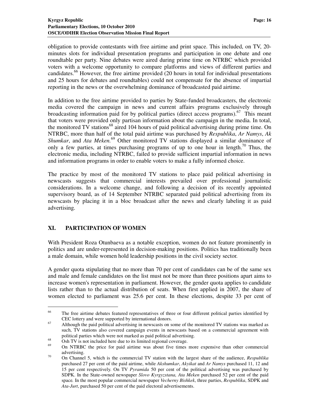obligation to provide contestants with free airtime and print space. This included, on TV, 20 minutes slots for individual presentation programs and participation in one debate and one roundtable per party. Nine debates were aired during prime time on NTRBC which provided voters with a welcome opportunity to compare platforms and views of different parties and candidates.<sup>66</sup> However, the free airtime provided (20 hours in total for individual presentations and 25 hours for debates and roundtables) could not compensate for the absence of impartial reporting in the news or the overwhelming dominance of broadcasted paid airtime.

In addition to the free airtime provided to parties by State-funded broadcasters, the electronic media covered the campaign in news and current affairs programs exclusively through broadcasting information paid for by political parties (direct access programs).<sup>67</sup> This meant that voters were provided only partisan information about the campaign in the media. In total, the monitored  $TV$  stations<sup>68</sup> aired 104 hours of paid political advertising during prime time. On NTRBC, more than half of the total paid airtime was purchased by *Respublika*, *Ar Namys*, *Ak Shumkar*, and *Ata Meken.*<sup>69</sup> Other monitored TV stations displayed a similar dominance of only a few parties, at times purchasing programs of up to one hour in length.<sup>70</sup> Thus, the electronic media, including NTRBC, failed to provide sufficient impartial information in news and information programs in order to enable voters to make a fully informed choice.

The practice by most of the monitored TV stations to place paid political advertising in newscasts suggests that commercial interests prevailed over professional journalistic considerations. In a welcome change, and following a decision of its recently appointed supervisory board, as of 14 September NTRBC separated paid political advertising from its newscasts by placing it in a bloc broadcast after the news and clearly labeling it as paid advertising.

# **XI. PARTICIPATION OF WOMEN**

 $\ddot{\phantom{a}}$ 

With President Roza Otunbaeva as a notable exception, women do not feature prominently in politics and are under-represented in decision-making positions. Politics has traditionally been a male domain, while women hold leadership positions in the civil society sector.

A gender quota stipulating that no more than 70 per cent of candidates can be of the same sex and male and female candidates on the list must not be more than three positions apart aims to increase women's representation in parliament. However, the gender quota applies to candidate lists rather than to the actual distribution of seats. When first applied in 2007, the share of women elected to parliament was 25.6 per cent. In these elections, despite 33 per cent of

<sup>&</sup>lt;sup>66</sup> The free airtime debates featured representatives of three or four different political parties identified by CEC lottery and were supported by international donors.

<sup>&</sup>lt;sup>67</sup> Although the paid political advertising in newscasts on some of the monitored TV stations was marked as such, TV stations also covered campaign events in newscasts based on a commercial agreement with political parties which were not marked as paid political advertising.

 $^{68}$  Osh TV is not included here due to its limited regional coverage.

<sup>69</sup> On NTRBC the price for paid airtime was about five times more expensive than other commercial advertising.

<sup>70</sup> On Channel 5, which is the commercial TV station with the largest share of the audience, *Respublika*  purchased 27 per cent of the paid airtime, while *Akshumkar*, *Akyikat* and *Ar Namys* purchased 11, 12 and 15 per cent respectively. On TV *Pyramida* 50 per cent of the political advertising was purchased by SDPK. In the State-owned newspaper *Slovo Kyrgyzstana, Ata Meken* purchased 52 per cent of the paid space*.* In the most popular commercial newspaper *Vecherny Bishkek*, three parties, *Respublika*, SDPK and *Ata-Jurt*, purchased 50 per cent of the paid electoral advertisements.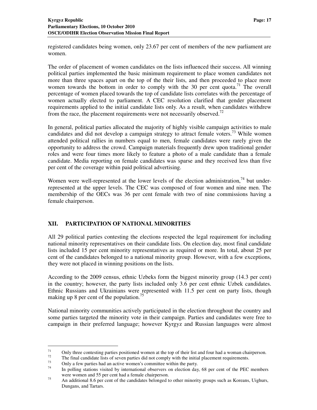registered candidates being women, only 23.67 per cent of members of the new parliament are women.

The order of placement of women candidates on the lists influenced their success. All winning political parties implemented the basic minimum requirement to place women candidates not more than three spaces apart on the top of the their lists, and then proceeded to place more women towards the bottom in order to comply with the 30 per cent quota.<sup>71</sup> The overall percentage of women placed towards the top of candidate lists correlates with the percentage of women actually elected to parliament. A CEC resolution clarified that gender placement requirements applied to the initial candidate lists only. As a result, when candidates withdrew from the race, the placement requirements were not necessarily observed.<sup>72</sup>

In general, political parties allocated the majority of highly visible campaign activities to male candidates and did not develop a campaign strategy to attract female voters.<sup>73</sup> While women attended political rallies in numbers equal to men, female candidates were rarely given the opportunity to address the crowd. Campaign materials frequently drew upon traditional gender roles and were four times more likely to feature a photo of a male candidate than a female candidate. Media reporting on female candidates was sparse and they received less than five per cent of the coverage within paid political advertising.

Women were well-represented at the lower levels of the election administration,  $74$  but underrepresented at the upper levels. The CEC was composed of four women and nine men. The membership of the OECs was 36 per cent female with two of nine commissions having a female chairperson.

# **XII. PARTICIPATION OF NATIONAL MINORITIES**

All 29 political parties contesting the elections respected the legal requirement for including national minority representatives on their candidate lists. On election day, most final candidate lists included 15 per cent minority representatives as required or more. In total, about 25 per cent of the candidates belonged to a national minority group. However, with a few exceptions, they were not placed in winning positions on the lists.

According to the 2009 census, ethnic Uzbeks form the biggest minority group (14.3 per cent) in the country; however, the party lists included only 3.6 per cent ethnic Uzbek candidates. Ethnic Russians and Ukrainians were represented with 11.5 per cent on party lists, though making up 8 per cent of the population.<sup>75</sup>

National minority communities actively participated in the election throughout the country and some parties targeted the minority vote in their campaign. Parties and candidates were free to campaign in their preferred language; however Kyrgyz and Russian languages were almost

<sup>71</sup> Only three contesting parties positioned women at the top of their list and four had a woman chairperson.<br> $\frac{72}{2}$  The final candidate lists of saven parties did not comply with the initial placement requirements

 $72^7$  The final candidate lists of seven parties did not comply with the initial placement requirements.

 $^{73}$  Only a few parties had an active women's committee within the party.

In polling stations visited by international observers on election day, 68 per cent of the PEC members were women and 55 per cent had a female chairperson.

<sup>&</sup>lt;sup>75</sup> An additional 8.6 per cent of the candidates belonged to other minority groups such as Koreans, Uighurs, Dungans, and Tartars.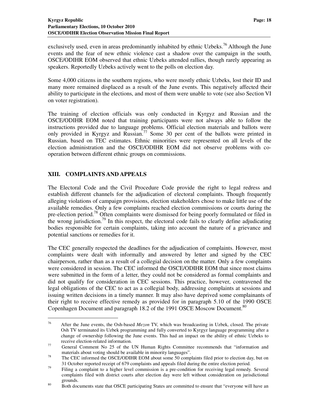exclusively used, even in areas predominantly inhabited by ethnic Uzbeks.<sup>76</sup> Although the June events and the fear of new ethnic violence cast a shadow over the campaign in the south, OSCE/ODIHR EOM observed that ethnic Uzbeks attended rallies, though rarely appearing as speakers. Reportedly Uzbeks actively went to the polls on election day.

Some 4,000 citizens in the southern regions, who were mostly ethnic Uzbeks, lost their ID and many more remained displaced as a result of the June events. This negatively affected their ability to participate in the elections, and most of them were unable to vote (see also Section VI on voter registration).

The training of election officials was only conducted in Kyrgyz and Russian and the OSCE/ODIHR EOM noted that training participants were not always able to follow the instructions provided due to language problems. Official election materials and ballots were only provided in Kyrgyz and Russian.<sup>77</sup> Some 30 per cent of the ballots were printed in Russian, based on TEC estimates. Ethnic minorities were represented on all levels of the election administration and the OSCE/ODIHR EOM did not observe problems with cooperation between different ethnic groups on commissions.

# **XIII. COMPLAINTS AND APPEALS**

 $\ddot{\phantom{a}}$ 

The Electoral Code and the Civil Procedure Code provide the right to legal redress and establish different channels for the adjudication of electoral complaints. Though frequently alleging violations of campaign provisions, election stakeholders chose to make little use of the available remedies. Only a few complaints reached election commissions or courts during the pre-election period.<sup>78</sup> Often complaints were dismissed for being poorly formulated or filed in the wrong jurisdiction.<sup>79</sup> In this respect, the electoral code fails to clearly define adjudicating bodies responsible for certain complaints, taking into account the nature of a grievance and potential sanctions or remedies for it.

The CEC generally respected the deadlines for the adjudication of complaints. However, most complaints were dealt with informally and answered by letter and signed by the CEC chairperson, rather than as a result of a collegial decision on the matter. Only a few complaints were considered in session. The CEC informed the OSCE/ODIHR EOM that since most claims were submitted in the form of a letter, they could not be considered as formal complaints and did not qualify for consideration in CEC sessions. This practice, however, contravened the legal obligations of the CEC to act as a collegial body, addressing complaints at sessions and issuing written decisions in a timely manner. It may also have deprived some complainants of their right to receive effective remedy as provided for in paragraph 5.10 of the 1990 OSCE Copenhagen Document and paragraph 18.2 of the 1991 OSCE Moscow Document.<sup>80</sup>

<sup>76</sup> After the June events, the Osh-based *Mezon* TV, which was broadcasting in Uzbek, closed. The private Osh TV terminated its Uzbek programming and fully converted to Kyrgyz language programming after a change of ownership following the June events. This had an impact on the ability of ethnic Uzbeks to receive election-related information.

<sup>77</sup> General Comment No 25 of the UN Human Rights Committee recommends that "information and materials about voting should be available in minority languages".

<sup>&</sup>lt;sup>78</sup> The CEC informed the OSCE/ODIHR EOM about some 50 complaints filed prior to election day, but on 31 October reported receipt of 679 complaints and appeals filed during the entire election period.

<sup>&</sup>lt;sup>79</sup> Filing a complaint to a higher level commission is a pre-condition for receiving legal remedy. Several complaints filed with district courts after election day were left without consideration on jurisdictional grounds.

<sup>&</sup>lt;sup>80</sup>Both documents state that OSCE participating States are committed to ensure that "everyone will have an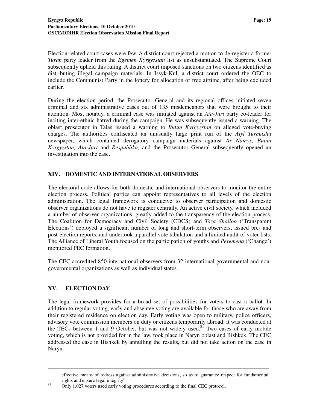Election-related court cases were few. A district court rejected a motion to de-register a former *Turan* party leader from the *Egemen Kyrgyzstan* list as unsubstantiated. The Supreme Court subsequently upheld this ruling. A district court imposed sanctions on two citizens identified as distributing illegal campaign materials. In Issyk-Kul, a district court ordered the OEC to include the Communist Party in the lottery for allocation of free airtime, after being excluded earlier.

During the election period, the Prosecutor General and its regional offices initiated seven criminal and six administrative cases out of 135 misdemeanors that were brought to their attention. Most notably, a criminal case was initiated against an *Ata-Jurt* party co-leader for inciting inter-ethnic hatred during the campaign. He was subsequently issued a warning. The oblast prosecutor in Talas issued a warning to *Butun Kyrgyzstan* on alleged vote-buying charges. The authorities confiscated an unusually large print run of the *Aiyl Turmushu* newspaper, which contained derogatory campaign materials against *Ar Namys*, *Butun Kyrgyzstan, Ata-Jurt* and *Respublika,* and the Prosecutor General subsequently opened an investigation into the case.

#### **XIV. DOMESTIC AND INTERNATIONAL OBSERVERS**

The electoral code allows for both domestic and international observers to monitor the entire election process. Political parties can appoint representatives to all levels of the election administration. The legal framework is conducive to observer participation and domestic observer organizations do not have to register centrally. An active civil society, which included a number of observer organizations, greatly added to the transparency of the election process. The Coalition for Democracy and Civil Society (CDCS) and *Taza Shailoo* ('Transparent Elections') deployed a significant number of long and short-term observers, issued pre- and post-election reports, and undertook a parallel vote tabulation and a limited audit of voter lists. The Alliance of Liberal Youth focused on the participation of youths and *Peremena* ('Change') monitored PEC formation.

The CEC accredited 850 international observers from 32 international governmental and nongovernmental organizations as well as individual states.

# **XV. ELECTION DAY**

 $\ddot{\phantom{a}}$ 

The legal framework provides for a broad set of possibilities for voters to cast a ballot. In addition to regular voting, early and absentee voting are available for those who are away from their registered residence on election day. Early voting was open to military, police officers, advisory vote commission members on duty or citizens temporarily abroad; it was conducted at the TECs between 1 and 9 October, but was not widely used.<sup>81</sup> Two cases of early mobile voting, which is not provided for in the law, took place in Naryn oblast and Bishkek. The CEC addressed the case in Bishkek by annulling the results, but did not take action on the case in Naryn.

effective means of redress against administrative decisions, so as to guarantee respect for fundamental rights and ensure legal integrity".

<sup>&</sup>lt;sup>81</sup> Only 1,027 voters used early voting procedures according to the final CEC protocol.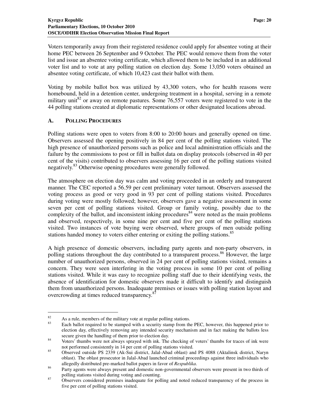Voters temporarily away from their registered residence could apply for absentee voting at their home PEC between 26 September and 9 October. The PEC would remove them from the voter list and issue an absentee voting certificate, which allowed them to be included in an additional voter list and to vote at any polling station on election day. Some 13,050 voters obtained an absentee voting certificate, of which 10,423 cast their ballot with them.

Voting by mobile ballot box was utilized by 43,300 voters, who for health reasons were homebound, held in a detention center, undergoing treatment in a hospital, serving in a remote military unit<sup>82</sup> or away on remote pastures. Some 76,557 voters were registered to vote in the 44 polling stations created at diplomatic representations or other designated locations abroad.

#### **A. POLLING PROCEDURES**

Polling stations were open to voters from 8:00 to 20:00 hours and generally opened on time. Observers assessed the opening positively in 84 per cent of the polling stations visited. The high presence of unauthorized persons such as police and local administration officials and the failure by the commissions to post or fill in ballot data on display protocols (observed in 40 per cent of the visits) contributed to observers assessing 16 per cent of the polling stations visited negatively.<sup>83</sup> Otherwise opening procedures were generally followed.

The atmosphere on election day was calm and voting proceeded in an orderly and transparent manner. The CEC reported a 56.59 per cent preliminary voter turnout. Observers assessed the voting process as good or very good in 93 per cent of polling stations visited. Procedures during voting were mostly followed; however, observers gave a negative assessment in some seven per cent of polling stations visited. Group or family voting, possibly due to the complexity of the ballot, and inconsistent inking procedures  $\frac{1}{2}$  were noted as the main problems and observed, respectively, in some nine per cent and five per cent of the polling stations visited. Two instances of vote buying were observed, where groups of men outside polling stations handed money to voters either entering or exiting the polling stations.<sup>85</sup>

A high presence of domestic observers, including party agents and non-party observers, in polling stations throughout the day contributed to a transparent process.<sup>86</sup> However, the large number of unauthorized persons, observed in 24 per cent of polling stations visited, remains a concern. They were seen interfering in the voting process in some 10 per cent of polling stations visited. While it was easy to recognize polling staff due to their identifying vests, the absence of identification for domestic observers made it difficult to identify and distinguish them from unauthorized persons. Inadequate premises or issues with polling station layout and overcrowding at times reduced transparency.<sup>8</sup>

 $82$  As a rule, members of the military vote at regular polling stations.

Each ballot required to be stamped with a security stamp from the PEC, however, this happened prior to election day, effectively removing any intended security mechanism and in fact making the ballots less secure given the handling of them prior to election day.

<sup>&</sup>lt;sup>84</sup> Voters' thumbs were not always sprayed with ink. The checking of voters' thumbs for traces of ink were not performed consistently in 14 per cent of polling stations visited.

<sup>85</sup> Observed outside PS 2339 (Ak-Sui district, Jalal-Abad oblast) and PS 4088 (Aktalinsk district, Naryn oblast). The oblast prosecutor in Jalal-Abad launched criminal proceedings against three individuals who allegedly distributed pre-marked ballot papers in favor of *Respublika*.

<sup>&</sup>lt;sup>86</sup> Party agents were always present and domestic non-governmental observers were present in two thirds of polling stations visited during voting and counting.

<sup>&</sup>lt;sup>87</sup> Observers considered premises inadequate for polling and noted reduced transparency of the process in five per cent of polling stations visited.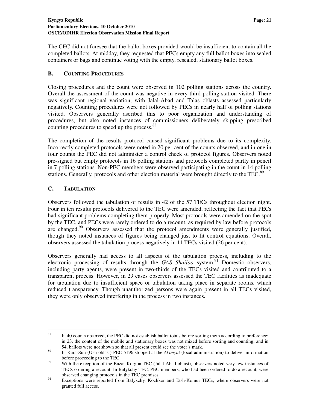The CEC did not foresee that the ballot boxes provided would be insufficient to contain all the completed ballots. At midday, they requested that PECs empty any full ballot boxes into sealed containers or bags and continue voting with the empty, resealed, stationary ballot boxes.

# **B. COUNTING PROCEDURES**

Closing procedures and the count were observed in 102 polling stations across the country. Overall the assessment of the count was negative in every third polling station visited. There was significant regional variation, with Jalal-Abad and Talas oblasts assessed particularly negatively. Counting procedures were not followed by PECs in nearly half of polling stations visited. Observers generally ascribed this to poor organization and understanding of procedures, but also noted instances of commissioners deliberately skipping prescribed counting procedures to speed up the process.<sup>88</sup>

The completion of the results protocol caused significant problems due to its complexity. Incorrectly completed protocols were noted in 20 per cent of the counts observed, and in one in four counts the PEC did not administer a control check of protocol figures. Observers noted pre-signed but empty protocols in 16 polling stations and protocols completed partly in pencil in 7 polling stations. Non-PEC members were observed participating in the count in 14 polling stations. Generally, protocols and other election material were brought directly to the TEC.<sup>89</sup>

# **C. TABULATION**

 $\overline{a}$ 

Observers followed the tabulation of results in 42 of the 57 TECs throughout election night. Four in ten results protocols delivered to the TEC were amended, reflecting the fact that PECs had significant problems completing them properly. Most protocols were amended on the spot by the TEC, and PECs were rarely ordered to do a recount, as required by law before protocols are changed.<sup>90</sup> Observers assessed that the protocol amendments were generally justified, though they noted instances of figures being changed just to fit control equations. Overall, observers assessed the tabulation process negatively in 11 TECs visited (26 per cent).

Observers generally had access to all aspects of the tabulation process, including to the electronic processing of results through the *GAS Shailoo* system.<sup>91</sup> Domestic observers, including party agents, were present in two-thirds of the TECs visited and contributed to a transparent process. However, in 29 cases observers assessed the TEC facilities as inadequate for tabulation due to insufficient space or tabulation taking place in separate rooms, which reduced transparency. Though unauthorized persons were again present in all TECs visited, they were only observed interfering in the process in two instances.

<sup>&</sup>lt;sup>88</sup> In 40 counts observed, the PEC did not establish ballot totals before sorting them according to preference; in 23, the content of the mobile and stationary boxes was not mixed before sorting and counting; and in 54, ballots were not shown so that all present could see the voter's mark.

<sup>89</sup> In Kara-Suu (Osh oblast) PEC 5196 stopped at the *Akimyat* (local administration) to deliver information before proceeding to the TEC.

<sup>&</sup>lt;sup>90</sup> With the exception of the Bazar-Korgon TEC (Jalal-Abad oblast), observers noted very few instances of TECs ordering a recount. In Balykchy TEC, PEC members, who had been ordered to do a recount, were observed changing protocols in the TEC premises.

<sup>&</sup>lt;sup>91</sup> Exceptions were reported from Balykchy, Kochkor and Tash-Komur TECs, where observers were not granted full access.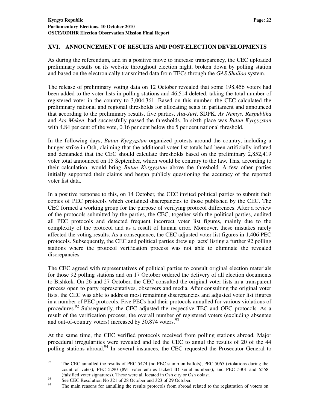# **XVI. ANNOUNCEMENT OF RESULTS AND POST-ELECTION DEVELOPMENTS**

As during the referendum, and in a positive move to increase transparency, the CEC uploaded preliminary results on its website throughout election night, broken down by polling station and based on the electronically transmitted data from TECs through the *GAS Shailoo* system.

The release of preliminary voting data on 12 October revealed that some 198,456 voters had been added to the voter lists in polling stations and 46,514 deleted, taking the total number of registered voter in the country to 3,004,361. Based on this number, the CEC calculated the preliminary national and regional thresholds for allocating seats in parliament and announced that according to the preliminary results, five parties, *Ata-Jurt*, SDPK*, Ar Namys, Respublika* and *Ata Meken*, had successfully passed the thresholds. In sixth place was *Butun Kyrgyzstan* with 4.84 per cent of the vote, 0.16 per cent below the 5 per cent national threshold.

In the following days, *Butun Kyrgyzstan* organized protests around the country, including a hunger strike in Osh, claiming that the additional voter list totals had been artificially inflated and demanded that the CEC should calculate thresholds based on the preliminary 2,852,419 voter total announced on 15 September, which would be contrary to the law. This, according to their calculation, would bring *Butun Kyrgyzstan* above the threshold. A few other parties initially supported their claims and began publicly questioning the accuracy of the reported voter list data.

In a positive response to this, on 14 October, the CEC invited political parties to submit their copies of PEC protocols which contained discrepancies to those published by the CEC. The CEC formed a working group for the purpose of verifying protocol differences. After a review of the protocols submitted by the parties, the CEC, together with the political parties, audited all PEC protocols and detected frequent incorrect voter list figures, mainly due to the complexity of the protocol and as a result of human error. Moreover, these mistakes rarely affected the voting results. As a consequence, the CEC adjusted voter list figures in 1,406 PEC protocols. Subsequently, the CEC and political parties drew up 'acts' listing a further 92 polling stations where the protocol verification process was not able to eliminate the revealed discrepancies.

The CEC agreed with representatives of political parties to consult original election materials for those 92 polling stations and on 17 October ordered the delivery of all election documents to Bishkek. On 26 and 27 October, the CEC consulted the original voter lists in a transparent process open to party representatives, observers and media. After consulting the original voter lists, the CEC was able to address most remaining discrepancies and adjusted voter list figures in a number of PEC protocols. Five PECs had their protocols annulled for various violations of procedures.<sup>92</sup> Subsequently, the CEC adjusted the respective TEC and OEC protocols. As a result of the verification process, the overall number of registered voters (excluding absentee and out-of-country voters) increased by  $30,874$  voters.<sup>93</sup>

At the same time, the CEC verified protocols received from polling stations abroad. Major procedural irregularities were revealed and led the CEC to annul the results of 20 of the 44 polling stations abroad.<sup>94</sup> In several instances, the CEC requested the Prosecutor General to

 $\overline{a}$ 

<sup>&</sup>lt;sup>92</sup> The CEC annulled the results of PEC 5474 (no PEC stamp on ballots), PEC 5065 (violations during the count of votes), PEC 5290 (891 voter entries lacked ID serial numbers), and PEC 5301 and 5558 (falsified voter signatures). These were all located in Osh city or Osh oblast.

<sup>93</sup> See CEC Resolution No  $321$  of 28 October and  $323$  of 29 October.

The main reasons for annulling the results protocols from abroad related to the registration of voters on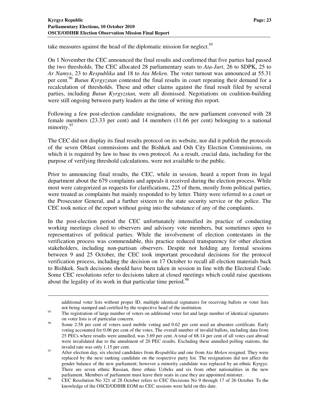$\ddot{\phantom{a}}$ 

take measures against the head of the diplomatic mission for neglect.<sup>95</sup>

On 1 November the CEC announced the final results and confirmed that five parties had passed the two thresholds. The CEC allocated 28 parliamentary seats to *Ata-Jurt*, 26 to SDPK, 25 to *Ar Namys*, 23 to *Respublika* and 18 to *Ata Meken*. The voter turnout was announced at 55.31 per cent.<sup>96</sup> *Butun Kyrgyzstan* contested the final results in court repeating their demand for a recalculation of thresholds. These and other claims against the final result filed by several parties, including *Butun Kyrgyzstan,* were all dismissed. Negotiations on coalition-building were still ongoing between party leaders at the time of writing this report.

Following a few post-election candidate resignations, the new parliament convened with 28 female members (23.33 per cent) and 14 members (11.66 per cent) belonging to a national minority.<sup>97</sup>

The CEC did not display its final results protocol on its website, nor did it publish the protocols of the seven Oblast commissions and the Bishkek and Osh City Election Commissions, on which it is required by law to base its own protocol. As a result, crucial data, including for the purpose of verifying threshold calculations, were not available to the public.

Prior to announcing final results, the CEC, while in session, heard a report from its legal department about the 679 complaints and appeals it received during the election process. While most were categorized as requests for clarifications, 225 of them, mostly from political parties, were treated as complaints but mainly responded to by letter. Thirty were referred to a court or the Prosecutor General, and a further sixteen to the state security service or the police. The CEC took notice of the report without going into the substance of any of the complaints.

In the post-election period the CEC unfortunately intensified its practice of conducting working meetings closed to observers and advisory vote members, but sometimes open to representatives of political parties. While the involvement of election contestants in the verification process was commendable, this practice reduced transparency for other election stakeholders, including non-partisan observers. Despite not holding any formal sessions between 9 and 25 October, the CEC took important procedural decisions for the protocol verification process, including the decision on 17 October to recall all election materials back to Bishkek. Such decisions should have been taken in session in line with the Electoral Code. Some CEC resolutions refer to decisions taken at closed meetings which could raise questions about the legality of its work in that particular time period.<sup>98</sup>

additional voter lists without proper ID, multiple identical signatures for receiving ballots or voter lists not being stamped and certified by the respective head of the institution.

<sup>&</sup>lt;sup>95</sup> The registration of large number of voters on additional voter list and large number of identical signatures on voter lists is of particular concern.

<sup>&</sup>lt;sup>96</sup> Some 2.58 per cent of voters used mobile voting and 0.62 per cent used an absentee certificate. Early voting accounted for 0.06 per cent of the votes. The overall number of invalid ballots, including data from 25 PECs where results were annulled, was 3.69 per cent. A total of 68.14 per cent of all votes cast abroad were invalidated due to the annulment of 20 PEC results. Excluding these annulled polling stations, the invalid rate was only 1.15 per cent.

<sup>&</sup>lt;sup>97</sup> After election day, six elected candidates from *Respublika* and one from *Ata Meken* resigned. They were replaced by the next ranking candidate on the respective party list. The resignations did not affect the gender balance of the new parliament; however a minority candidate was replaced by an ethnic Kyrgyz. There are seven ethnic Russian, three ethnic Uzbeks and six from other nationalities in the new parliament. Members of parliament must leave their seats in case they are appointed minister.

<sup>98</sup> CEC Resolution No 321 of 28 October refers to CEC Decisions No 9 through 17 of 26 October. To the knowledge of the OSCE/ODIHR EOM no CEC sessions were held on this date.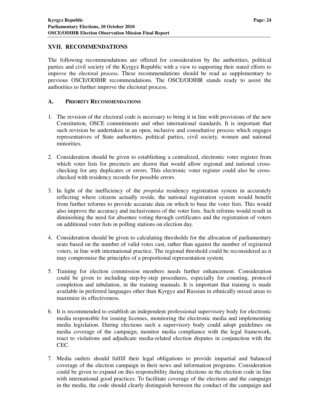# **XVII. RECOMMENDATIONS**

The following recommendations are offered for consideration by the authorities, political parties and civil society of the Kyrgyz Republic with a view to supporting their stated efforts to improve the electoral process. These recommendations should be read as supplementary to previous OSCE/ODIHR recommendations. The OSCE/ODIHR stands ready to assist the authorities to further improve the electoral process.

# **A. PRIORITY RECOMMENDATIONS**

- 1. The revision of the electoral code is necessary to bring it in line with provisions of the new Constitution, OSCE commitments and other international standards. It is important that such revision be undertaken in an open, inclusive and consultative process which engages representatives of State authorities, political parties, civil society, women and national minorities.
- 2. Consideration should be given to establishing a centralized, electronic voter register from which voter lists for precincts are drawn that would allow regional and national crosschecking for any duplicates or errors. This electronic voter register could also be crosschecked with residency records for possible errors.
- 3. In light of the inefficiency of the *propiska* residency registration system in accurately reflecting where citizens actually reside, the national registration system would benefit from further reforms to provide accurate data on which to base the voter lists. This would also improve the accuracy and inclusiveness of the voter lists. Such reforms would result in diminishing the need for absentee voting through certificates and the registration of voters on additional voter lists in polling stations on election day.
- 4. Consideration should be given to calculating thresholds for the allocation of parliamentary seats based on the number of valid votes cast, rather than against the number of registered voters, in line with international practice. The regional threshold could be reconsidered as it may compromise the principles of a proportional representation system.
- 5. Training for election commission members needs further enhancement. Consideration could be given to including step-by-step procedures, especially for counting, protocol completion and tabulation, in the training manuals. It is important that training is made available in preferred languages other than Kyrgyz and Russian in ethnically mixed areas to maximize its effectiveness.
- 6. It is recommended to establish an independent professional supervisory body for electronic media responsible for issuing licenses, monitoring the electronic media and implementing media legislation. During elections such a supervisory body could adopt guidelines on media coverage of the campaign, monitor media compliance with the legal framework, react to violations and adjudicate media-related election disputes in conjunction with the CEC.
- 7. Media outlets should fulfill their legal obligations to provide impartial and balanced coverage of the election campaign in their news and information programs. Consideration could be given to expand on this responsibility during elections in the election code in line with international good practices. To facilitate coverage of the elections and the campaign in the media, the code should clearly distinguish between the conduct of the campaign and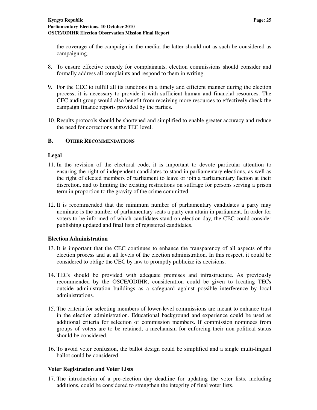the coverage of the campaign in the media; the latter should not as such be considered as campaigning.

- 8. To ensure effective remedy for complainants, election commissions should consider and formally address all complaints and respond to them in writing.
- 9. For the CEC to fulfill all its functions in a timely and efficient manner during the election process, it is necessary to provide it with sufficient human and financial resources. The CEC audit group would also benefit from receiving more resources to effectively check the campaign finance reports provided by the parties.
- 10. Results protocols should be shortened and simplified to enable greater accuracy and reduce the need for corrections at the TEC level.

#### **B. OTHER RECOMMENDATIONS**

#### **Legal**

- 11. In the revision of the electoral code, it is important to devote particular attention to ensuring the right of independent candidates to stand in parliamentary elections, as well as the right of elected members of parliament to leave or join a parliamentary faction at their discretion, and to limiting the existing restrictions on suffrage for persons serving a prison term in proportion to the gravity of the crime committed.
- 12. It is recommended that the minimum number of parliamentary candidates a party may nominate is the number of parliamentary seats a party can attain in parliament. In order for voters to be informed of which candidates stand on election day, the CEC could consider publishing updated and final lists of registered candidates.

#### **Election Administration**

- 13. It is important that the CEC continues to enhance the transparency of all aspects of the election process and at all levels of the election administration. In this respect, it could be considered to oblige the CEC by law to promptly publicize its decisions.
- 14. TECs should be provided with adequate premises and infrastructure. As previously recommended by the OSCE/ODIHR, consideration could be given to locating TECs outside administration buildings as a safeguard against possible interference by local administrations.
- 15. The criteria for selecting members of lower-level commissions are meant to enhance trust in the election administration. Educational background and experience could be used as additional criteria for selection of commission members. If commission nominees from groups of voters are to be retained, a mechanism for enforcing their non-political status should be considered.
- 16. To avoid voter confusion, the ballot design could be simplified and a single multi-lingual ballot could be considered.

#### **Voter Registration and Voter Lists**

17. The introduction of a pre-election day deadline for updating the voter lists, including additions, could be considered to strengthen the integrity of final voter lists.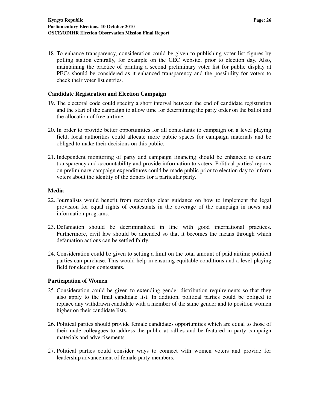18. To enhance transparency, consideration could be given to publishing voter list figures by polling station centrally, for example on the CEC website, prior to election day. Also, maintaining the practice of printing a second preliminary voter list for public display at PECs should be considered as it enhanced transparency and the possibility for voters to check their voter list entries.

#### **Candidate Registration and Election Campaign**

- 19. The electoral code could specify a short interval between the end of candidate registration and the start of the campaign to allow time for determining the party order on the ballot and the allocation of free airtime.
- 20. In order to provide better opportunities for all contestants to campaign on a level playing field, local authorities could allocate more public spaces for campaign materials and be obliged to make their decisions on this public.
- 21. Independent monitoring of party and campaign financing should be enhanced to ensure transparency and accountability and provide information to voters. Political parties' reports on preliminary campaign expenditures could be made public prior to election day to inform voters about the identity of the donors for a particular party.

# **Media**

- 22. Journalists would benefit from receiving clear guidance on how to implement the legal provision for equal rights of contestants in the coverage of the campaign in news and information programs.
- 23. Defamation should be decriminalized in line with good international practices. Furthermore, civil law should be amended so that it becomes the means through which defamation actions can be settled fairly.
- 24. Consideration could be given to setting a limit on the total amount of paid airtime political parties can purchase. This would help in ensuring equitable conditions and a level playing field for election contestants.

#### **Participation of Women**

- 25. Consideration could be given to extending gender distribution requirements so that they also apply to the final candidate list. In addition, political parties could be obliged to replace any withdrawn candidate with a member of the same gender and to position women higher on their candidate lists.
- 26. Political parties should provide female candidates opportunities which are equal to those of their male colleagues to address the public at rallies and be featured in party campaign materials and advertisements.
- 27. Political parties could consider ways to connect with women voters and provide for leadership advancement of female party members.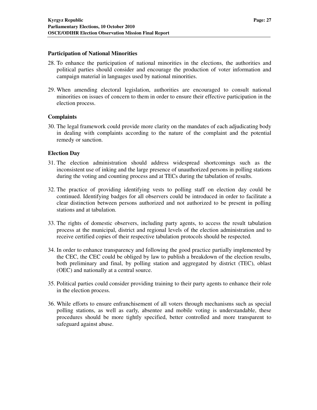#### **Participation of National Minorities**

- 28. To enhance the participation of national minorities in the elections, the authorities and political parties should consider and encourage the production of voter information and campaign material in languages used by national minorities.
- 29. When amending electoral legislation, authorities are encouraged to consult national minorities on issues of concern to them in order to ensure their effective participation in the election process.

# **Complaints**

30. The legal framework could provide more clarity on the mandates of each adjudicating body in dealing with complaints according to the nature of the complaint and the potential remedy or sanction.

#### **Election Day**

- 31. The election administration should address widespread shortcomings such as the inconsistent use of inking and the large presence of unauthorized persons in polling stations during the voting and counting process and at TECs during the tabulation of results.
- 32. The practice of providing identifying vests to polling staff on election day could be continued. Identifying badges for all observers could be introduced in order to facilitate a clear distinction between persons authorized and not authorized to be present in polling stations and at tabulation.
- 33. The rights of domestic observers, including party agents, to access the result tabulation process at the municipal, district and regional levels of the election administration and to receive certified copies of their respective tabulation protocols should be respected.
- 34. In order to enhance transparency and following the good practice partially implemented by the CEC, the CEC could be obliged by law to publish a breakdown of the election results, both preliminary and final, by polling station and aggregated by district (TEC), oblast (OEC) and nationally at a central source.
- 35. Political parties could consider providing training to their party agents to enhance their role in the election process.
- 36. While efforts to ensure enfranchisement of all voters through mechanisms such as special polling stations, as well as early, absentee and mobile voting is understandable, these procedures should be more tightly specified, better controlled and more transparent to safeguard against abuse.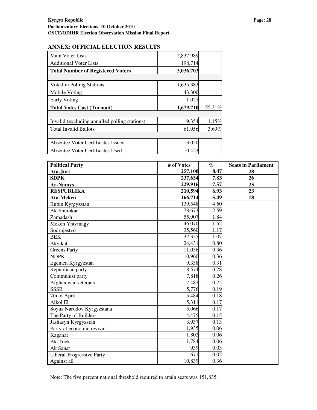#### **ANNEX: OFFICIAL ELECTION RESULTS**

| Main Voter Lists                              | 2,837,989 |        |
|-----------------------------------------------|-----------|--------|
| <b>Additional Voter Lists</b>                 | 198,714   |        |
| <b>Total Number of Registered Voters</b>      | 3,036,703 |        |
|                                               |           |        |
| Voted in Polling Stations                     | 1,635,383 |        |
| Mobile Voting                                 | 43,300    |        |
| Early Voting                                  | 1,027     |        |
| <b>Total Votes Cast (Turnout)</b>             | 1,679,710 | 55.31% |
|                                               |           |        |
| Invalid (excluding annulled polling stations) | 19,354    | 1.15%  |
| <b>Total Invalid Ballots</b>                  | 61,956    | 3.69%  |
|                                               |           |        |
| Absentee Voter Certificates Issued            | 13,050    |        |
| Absentee Voter Certificates Used              | 10,423    |        |

| <b>Political Party</b>    | # of Votes | $\%$ | <b>Seats in Parliament</b> |
|---------------------------|------------|------|----------------------------|
| Ata-Jurt                  | 257,100    | 8.47 | 28                         |
| <b>SDPK</b>               | 237,634    | 7.83 | 26                         |
| <b>Ar-Namys</b>           | 229,916    | 7.57 | 25                         |
| <b>RESPUBLIKA</b>         | 210,594    | 6.93 | 23                         |
| Ata-Meken                 | 166,714    | 5.49 | 18                         |
| Butun Kyrgyzstan          | 139,548    | 4.60 |                            |
| Ak-Shumkar                | 78,673     | 2.59 |                            |
| Zamadash                  | 55,907     | 1.84 |                            |
| Meken Yntymagy            | 46,070     | 1.52 |                            |
| Sodrujestvo               | 35,560     | 1.17 |                            |
| <b>BEK</b>                | 32,355     | 1.07 |                            |
| Akyikat                   | 24,431     | 0.80 |                            |
| <b>Greens Party</b>       | 11,056     | 0.36 |                            |
| <b>NDPK</b>               | 10,960     | 0.36 |                            |
| Egemen Kyrgyzstan         | 9,338      | 0.31 |                            |
| Republican party          | 8,574      | 0.28 |                            |
| Communist party           | 7,818      | 0.26 |                            |
| Afghan war veterans       | 7,487      | 0.25 |                            |
| <b>SSSR</b>               | 5,776      | 0.19 |                            |
| 7th of April              | 5,484      | 0.18 |                            |
| Aikol El                  | 5,311      | 0.17 |                            |
| Soyuz Narodov Kyrgyzstana | 5,066      | 0.17 |                            |
| The Party of Builders     | 4,475      | 0.15 |                            |
| Jashasyn Kyrgyzstan       | 3,937      | 0.13 |                            |
| Party of economic revival | 1,935      | 0.06 |                            |
| Kaganat                   | 1,802      | 0.06 |                            |
| Ak-Tilek                  | 1,784      | 0.06 |                            |
| Ak Sanat                  | 939        | 0.03 |                            |
| Liberal-Progressive Party | 671        | 0.02 |                            |
| Against all               | 10,839     | 0.36 |                            |

Note: The five percent national threshold required to attain seats was 151,835.